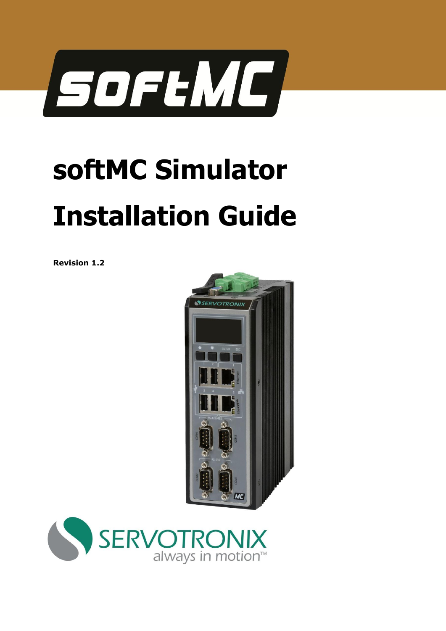

# **softMC Simulator Installation Guide**

**Revision 1.2** 



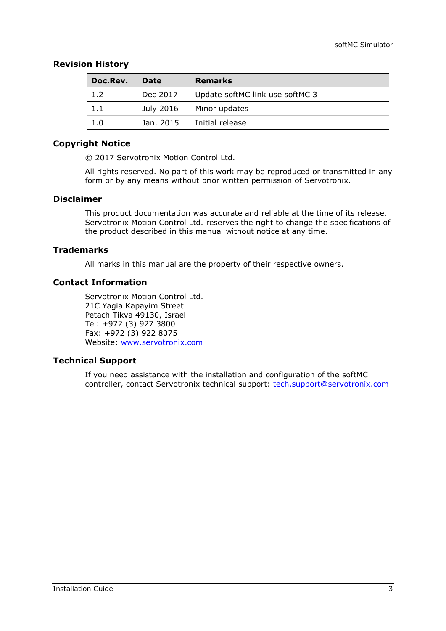### **Revision History**

| Doc.Rev. | Date      | <b>Remarks</b>                  |  |
|----------|-----------|---------------------------------|--|
| 1.2      | Dec 2017  | Update softMC link use softMC 3 |  |
| $1.1\,$  | July 2016 | Minor updates                   |  |
| 1.0      | Jan. 2015 | Initial release                 |  |

### **Copyright Notice**

© 2017 Servotronix Motion Control Ltd.

All rights reserved. No part of this work may be reproduced or transmitted in any form or by any means without prior written permission of Servotronix.

#### **Disclaimer**

This product documentation was accurate and reliable at the time of its release. Servotronix Motion Control Ltd. reserves the right to change the specifications of the product described in this manual without notice at any time.

#### **Trademarks**

All marks in this manual are the property of their respective owners.

#### **Contact Information**

Servotronix Motion Control Ltd. 21C Yagia Kapayim Street Petach Tikva 49130, Israel Tel: +972 (3) 927 3800 Fax: +972 (3) 922 8075 Website: [www.servotronix.com](http://www.servotronix.com/) 

### **Technical Support**

If you need assistance with the installation and configuration of the softMC controller, contact Servotronix technical support: [tech.support@servotronix.com](mailto:tech.support@servotronix.com)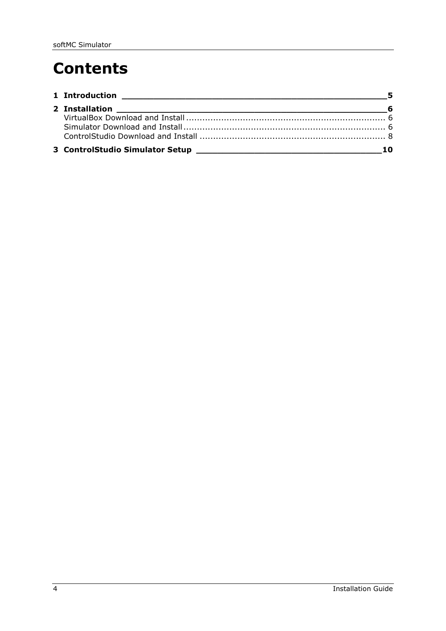# **Contents**

| 1 Introduction |  |
|----------------|--|
|                |  |
|                |  |
|                |  |
|                |  |
|                |  |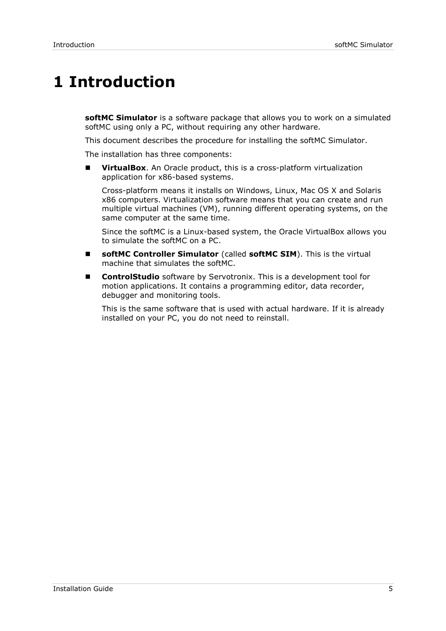## <span id="page-4-0"></span>**1 Introduction**

**softMC Simulator** is a software package that allows you to work on a simulated softMC using only a PC, without requiring any other hardware.

This document describes the procedure for installing the softMC Simulator.

The installation has three components:

**VirtualBox.** An Oracle product, this is a cross-platform virtualization application for x86-based systems.

Cross-platform means it installs on Windows, Linux, Mac OS X and Solaris x86 computers. Virtualization software means that you can create and run multiple virtual machines (VM), running different operating systems, on the same computer at the same time.

Since the softMC is a Linux-based system, the Oracle VirtualBox allows you to simulate the softMC on a PC.

- **softMC Controller Simulator** (called **softMC SIM**). This is the virtual machine that simulates the softMC.
- **ControlStudio** software by Servotronix. This is a development tool for motion applications. It contains a programming editor, data recorder, debugger and monitoring tools.

This is the same software that is used with actual hardware. If it is already installed on your PC, you do not need to reinstall.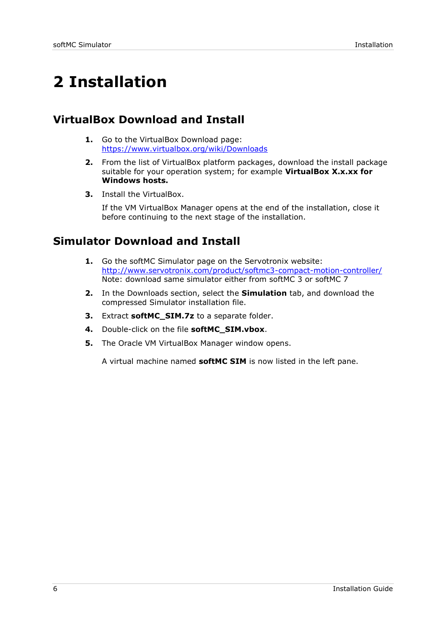# <span id="page-5-0"></span>**2 Installation**

### <span id="page-5-1"></span>**VirtualBox Download and Install**

- **1.** Go to the VirtualBox Download page: <https://www.virtualbox.org/wiki/Downloads>
- **2.** From the list of VirtualBox platform packages, download the install package suitable for your operation system; for example **VirtualBox X.x.xx for Windows hosts.**
- **3.** Install the VirtualBox.

If the VM VirtualBox Manager opens at the end of the installation, close it before continuing to the next stage of the installation.

### <span id="page-5-2"></span>**Simulator Download and Install**

- **1.** Go the softMC Simulator page on the Servotronix website: <http://www.servotronix.com/product/softmc3-compact-motion-controller/> Note: download same simulator either from softMC 3 or softMC 7
- **2.** In the Downloads section, select the **Simulation** tab, and download the compressed Simulator installation file.
- **3.** Extract **softMC\_SIM.7z** to a separate folder.
- **4.** Double-click on the file **softMC\_SIM.vbox**.
- **5.** The Oracle VM VirtualBox Manager window opens.

A virtual machine named **softMC SIM** is now listed in the left pane.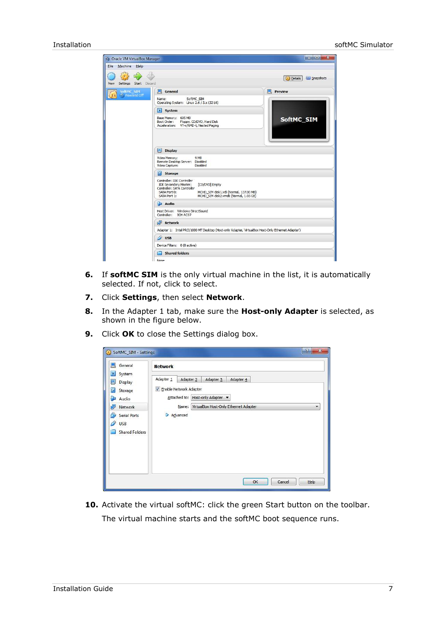| <b>No Oracle VM VirtualBox Manager</b>    |                                                                                                                                                                                                                                | $\mathbf{x}$<br><b>Contra La</b> |
|-------------------------------------------|--------------------------------------------------------------------------------------------------------------------------------------------------------------------------------------------------------------------------------|----------------------------------|
| Eile<br>Machine Help                      |                                                                                                                                                                                                                                |                                  |
| Settings Start Discard<br>New             |                                                                                                                                                                                                                                | <b>C</b> Details<br>Snapshots    |
| SoftMC SIM<br><b><i>O</i></b> Powered Off | General<br>圓                                                                                                                                                                                                                   | <b>Preview</b>                   |
| (2.6)                                     | SoftMC SIM<br>Name:<br>Operating System: Linux 2.6 / 3.x (32 bit)                                                                                                                                                              |                                  |
|                                           | ES.<br>System                                                                                                                                                                                                                  |                                  |
|                                           | Base Memory: 605 MB<br>Boot Order:<br>Floppy, CD/DVD, Hard Disk<br>Acceleration: VT-x/AMD-V, Nested Paging                                                                                                                     | SoftMC_SIM                       |
|                                           | $\blacksquare$<br><b>Display</b><br>Video Memory:<br>9 MB<br>Remote Desktop Server: Disabled<br>Disabled<br>Video Capture:                                                                                                     |                                  |
|                                           | ☞<br><b>Storage</b>                                                                                                                                                                                                            |                                  |
|                                           | Controller: IDE Controller<br><b>IDE Secondary Master:</b><br>[CD/DVD] Empty<br>Controller: SATA Controller<br>SATA Port 0:<br>MCHD_SIM-disk1.vdi (Normal, 137.00 MB)<br>SATA Port 1:<br>MCHD_SIM-disk2.vmdk (Normal, 1.03 GB) |                                  |
|                                           | F<br>Audio                                                                                                                                                                                                                     |                                  |
|                                           | Host Driver: Windows DirectSound<br>Controller:<br>ICH AC97                                                                                                                                                                    |                                  |
|                                           | ď<br><b>Network</b>                                                                                                                                                                                                            |                                  |
|                                           | Adapter 1: Intel PRO/1000 MT Desktop (Host-only Adapter, 'VirtualBox Host-Only Ethernet Adapter')                                                                                                                              |                                  |
|                                           | $\circ$ usB                                                                                                                                                                                                                    |                                  |
|                                           | Device Filters: 0 (0 active)                                                                                                                                                                                                   |                                  |
|                                           | <b>Shared folders</b>                                                                                                                                                                                                          |                                  |
|                                           | None                                                                                                                                                                                                                           |                                  |

- **6.** If **softMC SIM** is the only virtual machine in the list, it is automatically selected. If not, click to select.
- **7.** Click **Settings**, then select **Network**.
- **8.** In the Adapter 1 tab, make sure the **Host-only Adapter** is selected, as shown in the figure below.
- **9.** Click **OK** to close the Settings dialog box.

| $\Box$<br>General                                                                                                                                          | <b>Network</b>                                                                                                                                                                                      |
|------------------------------------------------------------------------------------------------------------------------------------------------------------|-----------------------------------------------------------------------------------------------------------------------------------------------------------------------------------------------------|
| 戻<br>System<br>모<br>Display<br>$\circledcirc$<br>Storage<br>Audio<br>æ<br>dP<br>Network<br><b>Serial Ports</b><br>♦<br><b>USB</b><br><b>Shared Folders</b> | Adapter <sub>1</sub><br>Adapter 2<br>Adapter 4<br>Adapter 3<br><b>V</b> Enable Network Adapter<br>Host-only Adapter<br>Attached to:<br>Name: VirtualBox Host-Only Ethernet Adapter<br>▼<br>Advanced |
|                                                                                                                                                            |                                                                                                                                                                                                     |

10. Activate the virtual softMC: click the green Start button on the toolbar. The virtual machine starts and the softMC boot sequence runs.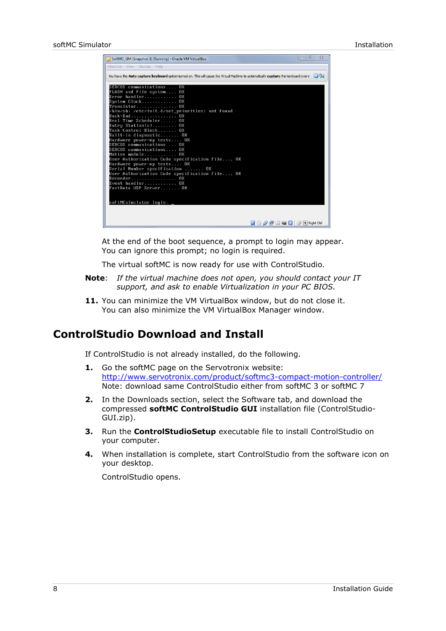| SoftMC_SIM (Snapshot 1) [Running] - Oracle VM VirtualBox                                                                             |                        | 回<br>$\Sigma$<br>- |
|--------------------------------------------------------------------------------------------------------------------------------------|------------------------|--------------------|
| Machine View Devices Help                                                                                                            |                        |                    |
|                                                                                                                                      |                        |                    |
| You have the Auto capture keyboard option turned on. This will cause the Virtual Machine to automatically capture the keyboard every |                        | 图图                 |
| SERCOS communications OK                                                                                                             |                        |                    |
| FLASH and File system OK                                                                                                             |                        |                    |
| Error handler<br>ПK                                                                                                                  |                        |                    |
| System Clock<br>ПK                                                                                                                   |                        |                    |
| Translator<br>ПK<br>/bin/sh: /etc/init.d/set_priorities: not found                                                                   |                        |                    |
| Back-End<br>ПK                                                                                                                       |                        |                    |
| Real Time Scheduler OK                                                                                                               |                        |                    |
| Entry Station(s) OK                                                                                                                  |                        |                    |
| Task Control Block OK                                                                                                                |                        |                    |
| Built-in diagnostic OK                                                                                                               |                        |                    |
| Hardware power-up tests OK<br>SERCOS communications OK                                                                               |                        |                    |
| SERCOS communications OK                                                                                                             |                        |                    |
| Motion module OK                                                                                                                     |                        |                    |
| User Authorization Code specification file OK                                                                                        |                        |                    |
| Hardware power-up tests OK                                                                                                           |                        |                    |
| Serial Number specification  OK<br>User Authorization Code specification file OK                                                     |                        |                    |
| Recorder OK                                                                                                                          |                        |                    |
| Event handler OK                                                                                                                     |                        |                    |
| FastData UDP Server OK                                                                                                               |                        |                    |
|                                                                                                                                      |                        |                    |
|                                                                                                                                      |                        |                    |
| softMCsimulator login:                                                                                                               |                        |                    |
|                                                                                                                                      |                        |                    |
|                                                                                                                                      |                        |                    |
|                                                                                                                                      | $\boxed{\circledcirc}$ |                    |
|                                                                                                                                      |                        |                    |

At the end of the boot sequence, a prompt to login may appear. You can ignore this prompt; no login is required.

The virtual softMC is now ready for use with ControlStudio.

- **Note**: *If the virtual machine does not open, you should contact your IT support, and ask to enable Virtualization in your PC BIOS.*
- **11.** You can minimize the VM VirtualBox window, but do not close it. You can also minimize the VM VirtualBox Manager window.

### <span id="page-7-0"></span>**ControlStudio Download and Install**

If ControlStudio is not already installed, do the following.

- **1.** Go the softMC page on the Servotronix website: <http://www.servotronix.com/product/softmc3-compact-motion-controller/> Note: download same ControlStudio either from softMC 3 or softMC 7
- **2.** In the Downloads section, select the Software tab, and download the compressed **softMC ControlStudio GUI** installation file (ControlStudio-GUI.zip).
- **3.** Run the **ControlStudioSetup** executable file to install ControlStudio on your computer.
- **4.** When installation is complete, start ControlStudio from the software icon on your desktop.

ControlStudio opens.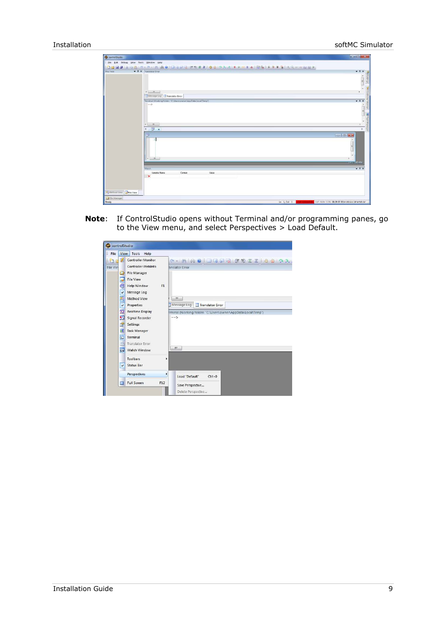| C controlStudio -                      |                                                                        | $\sim$ $\Omega$ $\times$ |
|----------------------------------------|------------------------------------------------------------------------|--------------------------|
| Eile Edit Debug View Tools Window Help |                                                                        |                          |
|                                        | <b>DERSIA DE TO OR A GIORDO ESEE DO DRA DE MIA DE FUDIO CANDER P</b>   |                          |
| File View                              | <b>v 0</b> x Translator Error                                          | $-9x$                    |
|                                        |                                                                        | î                        |
|                                        |                                                                        |                          |
|                                        |                                                                        | Ç                        |
|                                        | $\leftarrow$ m                                                         |                          |
|                                        | Message Log Translator Error                                           |                          |
|                                        | Terminal (Working folder: "C:\Users\owner\AppData\Local\Temp")         | $+ 2x$                   |
|                                        | $\rightarrow$                                                          | ň                        |
|                                        |                                                                        | 高                        |
|                                        |                                                                        | 国市                       |
|                                        |                                                                        | $\overline{\phantom{a}}$ |
|                                        | $\sim$ $\sim$ $\sim$                                                   | 天空                       |
|                                        | 4 <b>3 x</b>                                                           | $\mathbf{b}$<br>呈        |
|                                        | 陟                                                                      | crip a                   |
|                                        |                                                                        | $\sim$                   |
|                                        |                                                                        |                          |
|                                        |                                                                        |                          |
|                                        |                                                                        |                          |
|                                        | $\epsilon = \frac{m}{2}$                                               | ٠                        |
|                                        |                                                                        | <b>Aumous</b> Stadio     |
|                                        | Watch                                                                  | $-7x$                    |
|                                        | Variable Name<br>Value<br>Context                                      |                          |
|                                        | $\mathbf{\times}$                                                      |                          |
|                                        |                                                                        |                          |
|                                        |                                                                        |                          |
| Nethod View La File View               |                                                                        |                          |
| <b>C</b> File Manager                  |                                                                        |                          |
| Ready                                  | Ln 1, Col 1 Snot connected CAP NUM SCRL 08:29:57 2014 UCHAN 14 Youn Di |                          |

**Note**: If ControlStudio opens without Terminal and/or programming panes, go to the View menu, and select Perspectives > Load Default.

| Tools<br>File<br>Help<br>View<br>図<br><b>Controller Monitor</b><br><b>A A A CIOGOO FIEIO O A A</b><br>Controller WebInfo<br>File Vier<br>anslator Error<br><b>File Manager</b><br>Сī<br><b>File View</b><br>ö<br>F1<br><b>Help Window</b><br>k a<br>Message Log<br>$\checkmark$<br>粵<br><b>Method View</b><br>$\mathbf{H}$<br>Message Log<br>Translator Error<br>Properties<br>$\checkmark$<br><b>Realtime Display</b><br>$\infty$<br>erminal (Working folder: "C:\Users\owner\AppData\Local\Temp")<br>$\sqrt{2}$<br>$\rightarrow$<br>Signal Recorder<br>Settings<br><b>PT</b><br>可<br><b>Task Manager</b><br>$\overline{\mathbf{z}}$<br>Terminal<br><b>Translator Error</b><br>æ<br>Ш<br>脚<br>Watch Window<br>Toolbars<br>Þ<br><b>Status Bar</b><br>$\checkmark$<br>Perspectives<br>٠<br>Load "Default"<br>$Ctrl + 0$ | controlStudio |                           |  |
|------------------------------------------------------------------------------------------------------------------------------------------------------------------------------------------------------------------------------------------------------------------------------------------------------------------------------------------------------------------------------------------------------------------------------------------------------------------------------------------------------------------------------------------------------------------------------------------------------------------------------------------------------------------------------------------------------------------------------------------------------------------------------------------------------------------------|---------------|---------------------------|--|
|                                                                                                                                                                                                                                                                                                                                                                                                                                                                                                                                                                                                                                                                                                                                                                                                                        |               |                           |  |
| e<br>Save Perspective                                                                                                                                                                                                                                                                                                                                                                                                                                                                                                                                                                                                                                                                                                                                                                                                  |               | <b>Full Screen</b><br>F12 |  |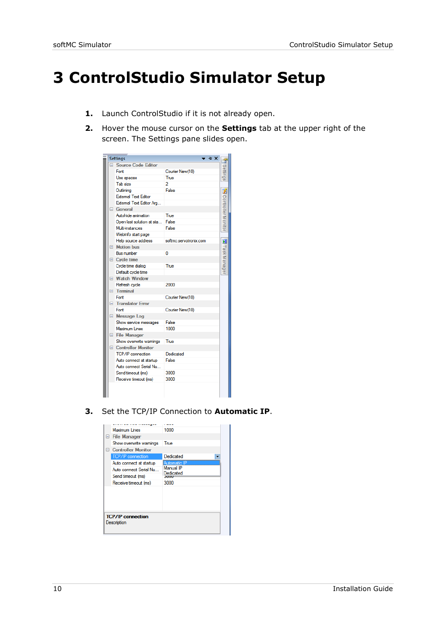## <span id="page-9-0"></span>**3 ControlStudio Simulator Setup**

- **1.** Launch ControlStudio if it is not already open.
- **2.** Hover the mouse cursor on the **Settings** tab at the upper right of the screen. The Settings pane slides open.

|        | <b>Settings</b>             | + ×                    |                           |
|--------|-----------------------------|------------------------|---------------------------|
| $\Box$ | <b>Source Code Editor</b>   |                        |                           |
|        | Fort                        | Courier New(10)        |                           |
|        | Use spaces                  | True                   | Settings                  |
|        | Tab size                    | 2                      |                           |
|        | Outlining                   | False                  | 乥                         |
|        | <b>External Text Editor</b> |                        |                           |
|        | External Text Editor Arg    |                        | <b>Controller Monitor</b> |
|        | General                     |                        |                           |
|        | Autobide animation          | True                   |                           |
|        | Open last solution at sta   | False                  |                           |
|        | <b>Multi-instances</b>      | False                  |                           |
|        | Webinfo start page          |                        |                           |
|        | Help source address         | softmc.servotronix.com | 圃                         |
|        | □ Motion bus                |                        |                           |
|        | <b>Bus number</b>           | o                      | Fask Manage               |
|        | $\Box$ Cycle time           |                        |                           |
|        | Cycle time dialog           | True                   |                           |
|        | Default cycle time          |                        |                           |
|        | □ Watch Window              |                        |                           |
|        | Refresh cycle               | 2000                   |                           |
| F.     | <b>Terminal</b>             |                        |                           |
|        | Fort                        | Courier New(10)        |                           |
| $\Box$ | <b>Translator Error</b>     |                        |                           |
|        | Fort                        | Courier New(10)        |                           |
|        | $\boxminus$ Message Log     |                        |                           |
|        | Show service messages       | False                  |                           |
|        | <b>Maximum Lines</b>        | 1000                   |                           |
|        | <b>E</b> File Manager       |                        |                           |
|        | Show overwrite warnings     | True                   |                           |
|        | □ Controller Monitor        |                        |                           |
|        | <b>TCP/IP</b> connection    | Dedicated              |                           |
|        | Auto connect at startup     | False                  |                           |
|        | Auto connect Serial Nu      |                        |                           |
|        | Send timeout (ms)           | 3000                   |                           |
|        | Receive timeout (ms)        | 3000                   |                           |
|        |                             |                        |                           |
|        |                             |                        |                           |

**3.** Set the TCP/IP Connection to **Automatic IP**.

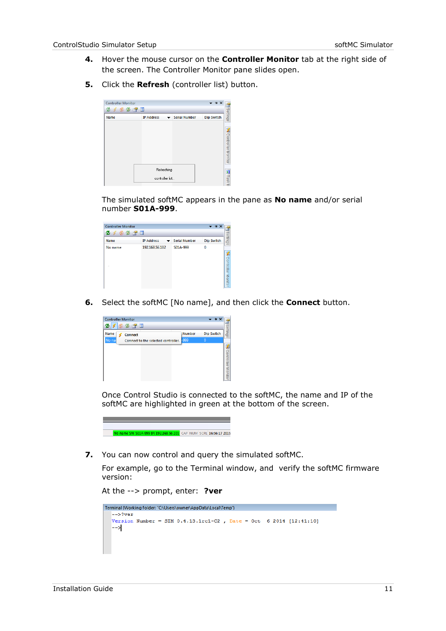- **4.** Hover the mouse cursor on the **Controller Monitor** tab at the right side of the screen. The Controller Monitor pane slides open.
- **5.** Click the **Refresh** (controller list) button.

| <b>Controller Monitor</b><br><b>46288</b><br>ø |                   |                      | + x                           |
|------------------------------------------------|-------------------|----------------------|-------------------------------|
| Name                                           | <b>IP Address</b> | <b>Serial Number</b> | Settings<br><b>Dip Switch</b> |
|                                                |                   |                      | <b>SA</b> Controller Monitor  |
|                                                |                   | Refreshing           |                               |
|                                                |                   | controller list      | E Task I                      |

The simulated softMC appears in the pane as **No name** and/or serial number **S01A-999**.

| <b>Controller Monitor</b><br><b>1928</b><br>۰ |                                               |                      | $\rightarrow$ $\rightarrow$ $\times$ |
|-----------------------------------------------|-----------------------------------------------|----------------------|--------------------------------------|
| Name                                          | <b>IP Address</b><br>$\overline{\phantom{a}}$ | <b>Serial Number</b> | Settings<br><b>Dip Switch</b>        |
| No name<br>٠                                  | 192.168.56.102                                | S01A-999             | 0<br>Controller Monitor              |

**6.** Select the softMC [No name], and then click the **Connect** button.

| <b>Controller Monitor</b><br>2 1 3 2 3 1      |               | $\rightarrow$ $\rightarrow$ $\times$ |                    |
|-----------------------------------------------|---------------|--------------------------------------|--------------------|
| Name<br><b>Connect</b>                        | <b>Number</b> | <b>Dip Switch</b>                    | Settings           |
| No nai<br>Connect to the selected controller. | $-999$        | $\overline{0}$                       |                    |
|                                               |               |                                      | Controller Monitor |

Once Control Studio is connected to the softMC, the name and IP of the softMC are highlighted in green at the bottom of the screen.

No name SN: 501A-999 IP: 192.168.56.101 CAP NUM SCRL 16:56:17 2015

**7.** You can now control and query the simulated softMC.

For example, go to the Terminal window, and verify the softMC firmware version:

```
At the --> prompt, enter: ?ver
```

```
Terminal (Working folder: "C:\Users\owner\AppData\Local\Temp")
 -->?ver
Version Number = SIM 0.4.13.1rc1-C2, Date = Oct 6 2014 [12:41:10]
 \rightarrow
```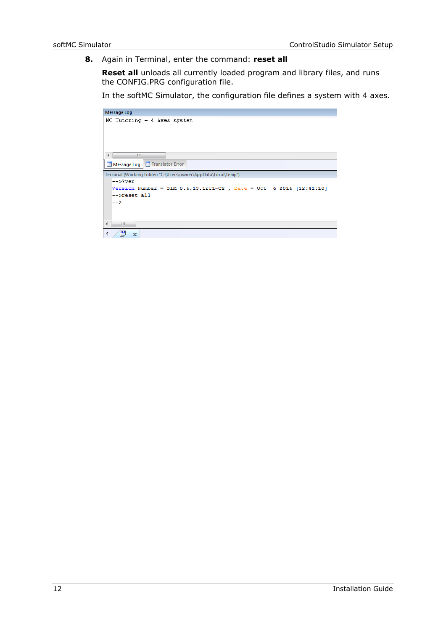**8.** Again in Terminal, enter the command: **reset all**

**Reset all** unloads all currently loaded program and library files, and runs the CONFIG.PRG configuration file.

In the softMC Simulator, the configuration file defines a system with 4 axes.

| Message Log                                                          |
|----------------------------------------------------------------------|
| $MC$ Tutoring $-4$ Axes system                                       |
| m.<br>$\overline{a}$                                                 |
| Message Log   H Translator Error                                     |
| Terminal (Working folder: "C:\Users\owner\AppData\Local\Temp")       |
| $--$ >?ver                                                           |
| Version Number = SIM $0.4.13.1$ rc1-C2, Date = Oct 6 2014 [12:41:10] |
| -->reset all                                                         |
| $\rightarrow$                                                        |
| m.<br>∢                                                              |
| 쁝<br>◁<br>$\boldsymbol{\mathsf{x}}$                                  |